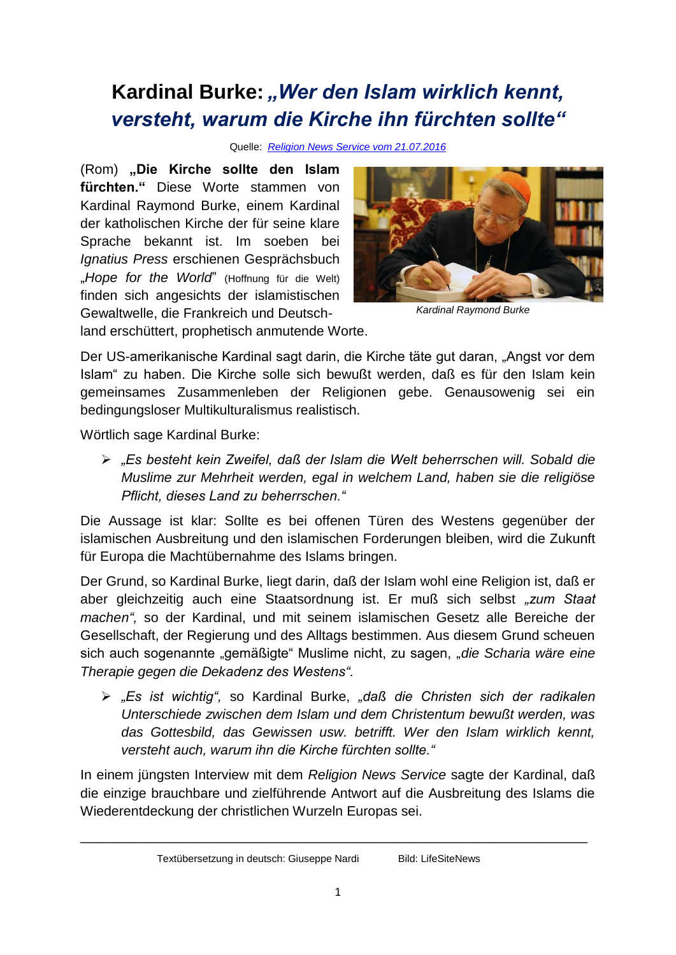## Kardinal Burke: "Wer den Islam wirklich kennt, *versteht, warum die Kirche ihn fürchten sollte"*

Quelle: *[Religion News Service vom 21.07.2016](http://religionnews.com/)*

(Rom) "Die Kirche sollte den Islam **fürchten."** Diese Worte stammen von Kardinal Raymond Burke, einem Kardinal der katholischen Kirche der für seine klare Sprache bekannt ist. Im soeben bei *Ignatius Press* erschienen Gesprächsbuch "Hope for the World" (Hoffnung für die Welt) finden sich angesichts der islamistischen Gewaltwelle, die Frankreich und Deutsch-



*Kardinal Raymond Burke*

land erschüttert, prophetisch anmutende Worte.

Der US-amerikanische Kardinal sagt darin, die Kirche täte gut daran, "Angst vor dem Islam" zu haben. Die Kirche solle sich bewußt werden, daß es für den Islam kein gemeinsames Zusammenleben der Religionen gebe. Genausowenig sei ein bedingungsloser Multikulturalismus realistisch.

Wörtlich sage Kardinal Burke:

 *"Es besteht kein Zweifel, daß der Islam die Welt beherrschen will. Sobald die Muslime zur Mehrheit werden, egal in welchem Land, haben sie die religiöse Pflicht, dieses Land zu beherrschen."*

Die Aussage ist klar: Sollte es bei offenen Türen des Westens gegenüber der islamischen Ausbreitung und den islamischen Forderungen bleiben, wird die Zukunft für Europa die Machtübernahme des Islams bringen.

Der Grund, so Kardinal Burke, liegt darin, daß der Islam wohl eine Religion ist, daß er aber gleichzeitig auch eine Staatsordnung ist. Er muß sich selbst *"zum Staat machen",* so der Kardinal, und mit seinem islamischen Gesetz alle Bereiche der Gesellschaft, der Regierung und des Alltags bestimmen. Aus diesem Grund scheuen sich auch sogenannte "gemäßigte" Muslime nicht, zu sagen, "*die Scharia wäre eine Therapie gegen die Dekadenz des Westens".*

 *"Es ist wichtig",* so Kardinal Burke, *"daß die Christen sich der radikalen Unterschiede zwischen dem Islam und dem Christentum bewußt werden, was das Gottesbild, das Gewissen usw. betrifft. Wer den Islam wirklich kennt, versteht auch, warum ihn die Kirche fürchten sollte."*

In einem jüngsten Interview mit dem *Religion News Service* sagte der Kardinal, daß die einzige brauchbare und zielführende Antwort auf die Ausbreitung des Islams die Wiederentdeckung der christlichen Wurzeln Europas sei.

\_\_\_\_\_\_\_\_\_\_\_\_\_\_\_\_\_\_\_\_\_\_\_\_\_\_\_\_\_\_\_\_\_\_\_\_\_\_\_\_\_\_\_\_\_\_\_\_\_\_\_\_\_\_\_\_\_\_\_\_\_\_\_\_\_\_\_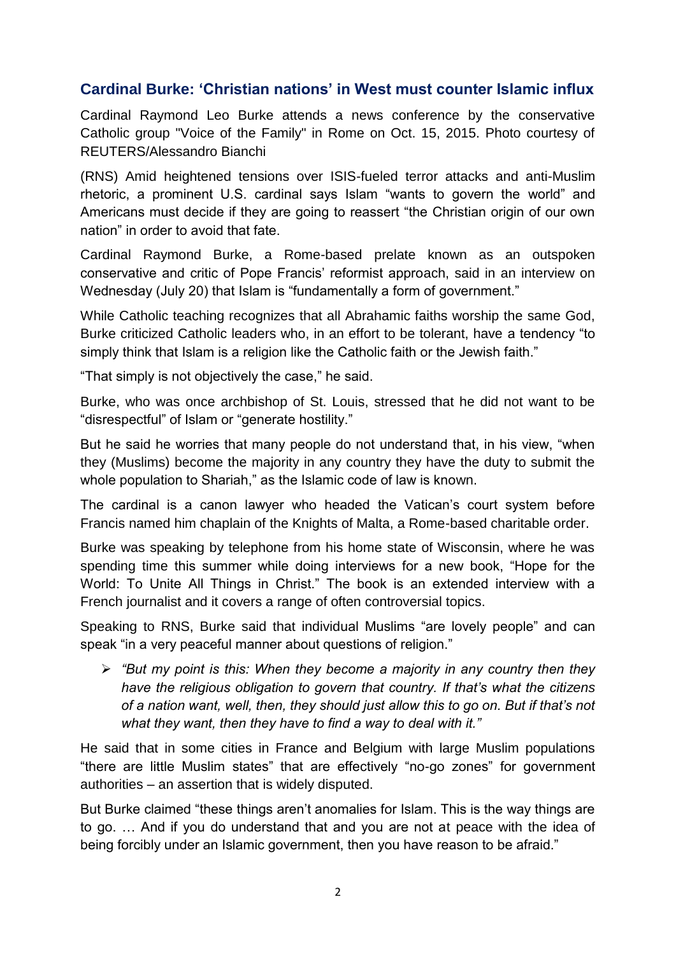## **Cardinal Burke: 'Christian nations' in West must counter Islamic influx**

Cardinal Raymond Leo Burke attends a news conference by the conservative Catholic group "Voice of the Family" in Rome on Oct. 15, 2015. Photo courtesy of REUTERS/Alessandro Bianchi

(RNS) Amid heightened tensions over ISIS-fueled terror attacks and anti-Muslim rhetoric, a prominent U.S. cardinal says Islam "wants to govern the world" and Americans must decide if they are going to reassert "the Christian origin of our own nation" in order to avoid that fate.

Cardinal Raymond Burke, a Rome-based prelate known as an outspoken conservative and critic of Pope Francis' reformist approach, said in an interview on Wednesday (July 20) that Islam is "fundamentally a form of government."

While Catholic teaching recognizes that all Abrahamic faiths worship the same God, Burke criticized Catholic leaders who, in an effort to be tolerant, have a tendency "to simply think that Islam is a religion like the Catholic faith or the Jewish faith."

"That simply is not objectively the case," he said.

Burke, who was once archbishop of St. Louis, stressed that he did not want to be "disrespectful" of Islam or "generate hostility."

But he said he worries that many people do not understand that, in his view, "when they (Muslims) become the majority in any country they have the duty to submit the whole population to Shariah," as the Islamic code of law is known.

The cardinal is a canon lawyer who headed the Vatican's court system before Francis named him chaplain of the Knights of Malta, a Rome-based charitable order.

Burke was speaking by telephone from his home state of Wisconsin, where he was spending time this summer while doing interviews for a new book, "Hope for the World: To Unite All Things in Christ." The book is an extended interview with a French journalist and it covers a range of often controversial topics.

Speaking to RNS, Burke said that individual Muslims "are lovely people" and can speak "in a very peaceful manner about questions of religion."

 *"But my point is this: When they become a majority in any country then they have the religious obligation to govern that country. If that's what the citizens of a nation want, well, then, they should just allow this to go on. But if that's not what they want, then they have to find a way to deal with it."*

He said that in some cities in France and Belgium with large Muslim populations "there are little Muslim states" that are effectively "no-go zones" for government authorities – an assertion that is widely disputed.

But Burke claimed "these things aren't anomalies for Islam. This is the way things are to go. … And if you do understand that and you are not at peace with the idea of being forcibly under an Islamic government, then you have reason to be afraid."